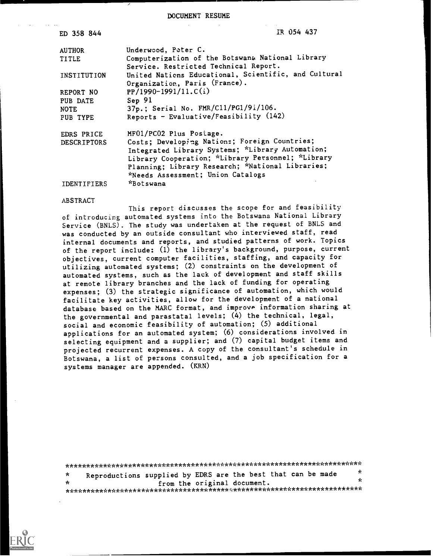#### DOCUMENT RESUME

| ED 358 844         | IR 054 437                                           |
|--------------------|------------------------------------------------------|
| <b>AUTHOR</b>      | Underwood, Peter C.                                  |
| <b>TITLE</b>       | Computerization of the Botswana National Library     |
|                    | Service. Restricted Technical Report.                |
| INSTITUTION        | United Nations Educational, Scientific, and Cultural |
|                    | Organization, Paris (France).                        |
| REPORT NO          | $PP/1990-1991/11.C(i)$                               |
| PUB DATE           | Sep 91                                               |
| <b>NOTE</b>        | 37p.; Serial No. FMR/C11/PG1/91/106.                 |
| PUB TYPE           | Reports - Evaluative/Feasibility (142)               |
| EDRS PRICE         | MF01/PC02 Plus Postage.                              |
| <b>DESCRIPTORS</b> | Costs; Developing Nations; Foreign Countries;        |
|                    | Integrated Library Systems; *Library Automation;     |
|                    | Library Cooperation; *Library Personnel; *Library    |
|                    | Planning; Library Research; *National Libraries;     |
|                    | *Needs Assessment; Union Catalogs                    |
| <b>IDENTIFIERS</b> | *Botswana                                            |

#### ABSTRACT

This report discusses the scope for and feasibility of introducing automated systems into the Botswana National Library Service (BNLS). The study was undertaken at the request of BNLS and was conducted by an outside consultant who interviewed staff, read internal documents and reports, and studied patterns of work. Topics of the report include: (1) the library's background, purpose, current objectives, current computer facilities, staffing, and capacity for utilizing automated systems; (2) constraints on the development of automated systems, such as the lack of development and staff skills at remote library branches and the lack of funding for operating expenses; (3) the strategic significance of automation, which would facilitate key activities, allow for the development of a national database based on the MARC format, and improve information sharing at the governmental and parastatal levels; (4) the technical, legal, social and economic feasibility of automation; (5) additional applications for an automated system; (6) considerations involved in selecting equipment and a supplier; and (7) capital budget items and projected recurrent expenses. A copy of the consultant's schedule in Botswana, a list of persons consulted, and a job specification for a systems manager are appended. (KRN)

\*\*\*\*\*\*\*\*\*\*\*\*\*\*\*\*\*\*\*\*\*\*\*\*\*\*\*\*\*\*\*\*\*\*\*\*\*\*\*\*\*\*\*\*\*\*\*\*\*\*\*\*\*\*\*\*\*\*\*\*\*\*\*\*\*\*\*\*\*\*\* Reproductions supplied by EDRS are the best that can be made  $\frac{\pi}{k}$  $\star$  $\frac{1}{2}$ from the original document. \*\*\*\*\*\*\*\*\*\*\*\*\*\*\*\*\*\*\*\*\*\*\*\*\*\*\*\*\*\*\*\*\*\*\*\*\*\*\*y.\*\*\*\*\*\*\*\*\*\*\*\*\*\*\*\*\*\*\*\*\*\*\*\*\*\*\*\*\*\*\*

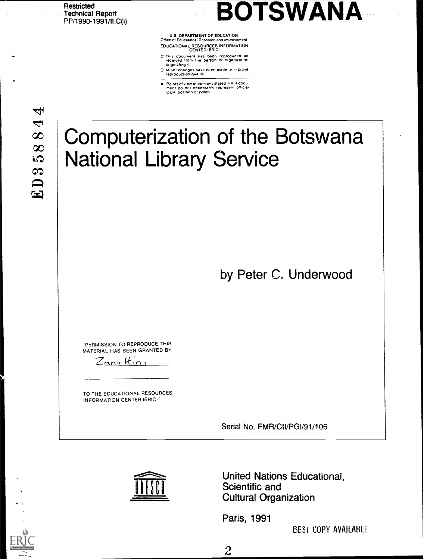**Restricted** Technical Report<br>PP/1990-1991/II.C(i)

# **BOTSWANA**

U.S. DEPARTMENT OF EDUCATION<br>Office of Educational Research and Improvement Office of Educational Research and Improvement EDUCATIONAL RESOURCES INFORMATION<br>CENTER (ERIC)

- This document has been reproduced as<br>received from the person or organization
- or.g.nafing .1 C Mmor changes sane been made to amprove reproduction quality
- Points of view or opinions stated in this docu<br>ment :do: not: necessarily represent: official<br>OERI position or policy

À  $\overline{\mathbf{f}}$  $\infty$  $\infty$ **LO** S  $\mathbf{E}$ 

## Computerization of the Botswana National Library Service

by Peter C. Underwood

PERMISSION TO REPRODUCE THIS MATERIAL HAS BEEN GRANTED BY

Zanv Itin

TO THE EDUCATIONAL RESOURCES INFORMATION CENTER (ERIC)

Serial No. FMR/CII/PGI/91/106



United Nations Educational, Scientific and Cultural Organization

Paris, 1991

 $\frac{2}{\sqrt{2}}$ 

BES1 COPY AVAILABLE

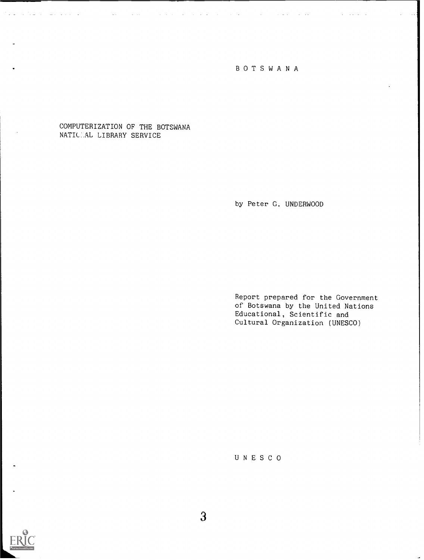## BOTSWANA

 $\Delta \sim 100$ 

## COMPUTERIZATION OF THE BOTSWANA NATILAL LIBRARY SERVICE

by Peter G. UNDERWOOD

Report prepared for the Government of Botswana by the United Nations Educational, Scientific and Cultural Organization (UNESCO)

UNESCO

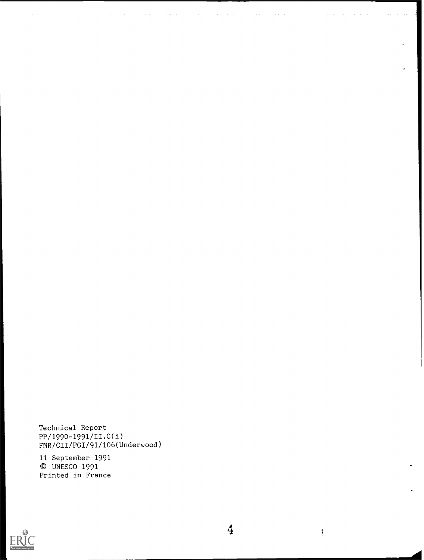Technical Report PP/1990-1991/II.C(i) FMR/CII/PGI/91/106(Underwood)

 $\mathbb{Z}^{\mathbb{Z}}$  .

 $\sim$   $\sim$ 

 $\mathbf{A}^{\mathrm{c}}$  and

11 September 1991 © UNESCO 1991 Printed in France



 $\overline{4}$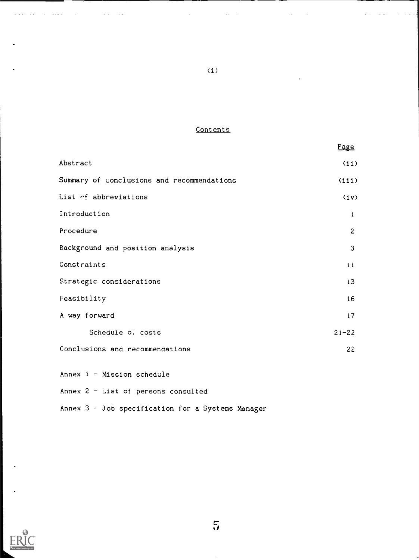## **Contents**

(i)

 $\mathbb{Z}^{\mathbb{Z}^2}$ 

|                                            | Page         |  |
|--------------------------------------------|--------------|--|
| Abstract                                   | (i)          |  |
| Summary of conclusions and recommendations | (iii)        |  |
| List of abbreviations                      | (iv)         |  |
| Introduction                               | 1            |  |
| Procedure                                  | $\mathbf{2}$ |  |
| Background and position analysis           | 3            |  |
| Constraints                                | 11           |  |
| Strategic considerations                   | 13           |  |
| Feasibility                                | 16           |  |
| A way forward                              | 17           |  |
| Schedule of costs                          | $21 - 22$    |  |
| Conclusions and recommendations<br>22      |              |  |
| Annex $1 -$ Mission schedule               |              |  |

Annex  $1 -$  Mission schedule

 $\mathcal{L}^{\pm}$  .

Annex 2 - List of persons consulted

Annex  $3 -$  Job specification for a Systems Manager



 $\mathcal{L}^{\pm}$  and  $\mathcal{L}^{\pm}$  $\sim$   $\sim$  الفاعدة

 $\overline{5}$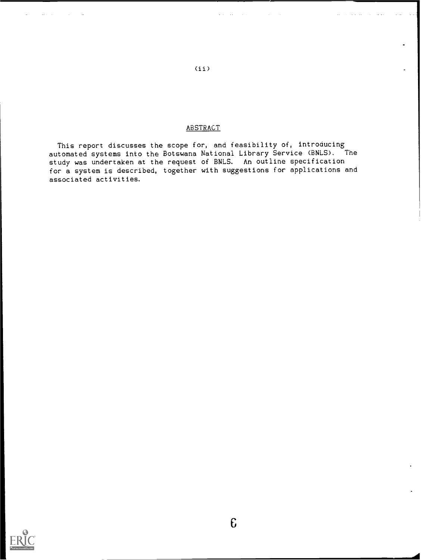## **ABSTRACT**

This report discusses the scope for, and feasibility of, introducing automated systems into the Botswana National Library Service (BNLS). The study was undertaken at the request of BNLS. An outline specification for a system is described, together with suggestions for applications and associated activities.



 $(ii)$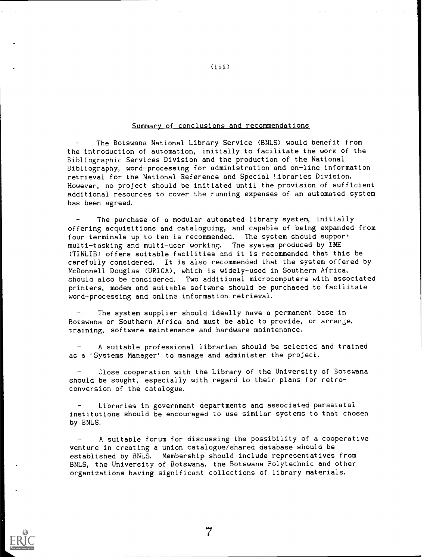## Summary of conclusions and recommendations

The Botswana National Library Service (BNLS) would benefit from the introduction of automation, initially to facilitate the work of the Bibliographic Services Division and the production of the National Bibliography, word-processing for administration and on-line information retrieval for the National Reference and Special Libraries Division. However, no project should be initiated until the provision of sufficient additional resources to cover the running expenses of an automated system has been agreed.

The purchase of a modular automated library system, initially offering acquisitions and cataloguing, and capable of being expanded from four terminals up to ten is recommended. The system should support multi-tasking and multi-user working. The system produced by IME (TINLIB) offers suitable facilities and it is recommended that this be carefully considered. It is also recommended that the system offered by McDonnell Douglas (URICA), which is widely-used in Southern Africa, should also be considered. Two additional microcomputers with associated printers, modem and suitable software should be purchased to facilitate word-processing and online information retrieval.

The system supplier should ideally have a permanent base in Botswana or Southern Africa and must be able to provide, or arrange, training, software maintenance and hardware maintenance.

A suitable professional librarian should be selected and trained as a 'Systems Manager' to manage and administer the project.

Close cooperation with the Library of the University of Botswana should be sought, especially with regard to their plans for retroconversion of the catalogue.

Libraries in government departments and associated parastatal institutions should be encouraged to use similar systems to that chosen by BNLS.

A suitable forum for discussing the possibility of a cooperative venture in creating a union catalogue/shared database should be established by BNLS. Membership should include representatives from BNLS, the University of Botswana, the Botswana Polytechnic and other organizations having significant collections of library materials.



 $(iii)$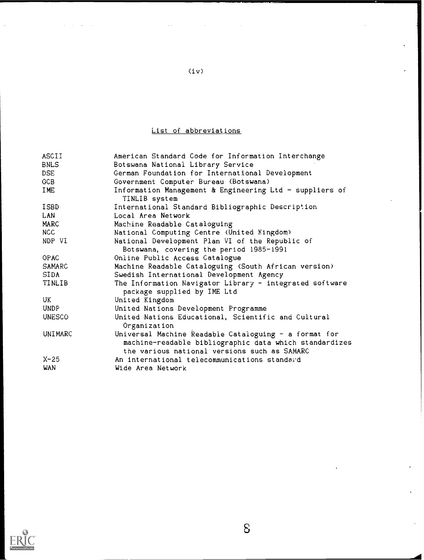## List of abbreviations

| ASCII         | American Standard Code for Information Interchange                                                                                                              |
|---------------|-----------------------------------------------------------------------------------------------------------------------------------------------------------------|
| <b>BNLS</b>   | Botswana National Library Service                                                                                                                               |
| DSE           | German Foundation for International Development                                                                                                                 |
| GCB           | Government Computer Bureau (Botswana)                                                                                                                           |
| IME           | Information Management & Engineering Ltd - suppliers of<br>TINLIB system                                                                                        |
| ISBD          | International Standard Bibliographic Description                                                                                                                |
| LAN           | Local Area Network                                                                                                                                              |
| MARC          | Machine Readable Cataloguing                                                                                                                                    |
| NCC           | National Computing Centre (United Kingdom)                                                                                                                      |
| NDP VI        | National Development Plan VI of the Republic of<br>Botswana, covering the period 1985-1991                                                                      |
| <b>OPAC</b>   | Online Public Access Catalogue                                                                                                                                  |
| SAMARC        | Machine Readable Cataloguing (South African version)                                                                                                            |
| SIDA          | Swedish International Development Agency                                                                                                                        |
| TINLIB        | The Information Navigator Library - integrated software<br>package supplied by IME Ltd                                                                          |
| UK            | United Kingdom                                                                                                                                                  |
| UNDP          | United Nations Development Programme                                                                                                                            |
| <b>UNESCO</b> | United Nations Educational, Scientific and Cultural<br>Organization                                                                                             |
| UNIMARC       | Universal Machine Readable Cataloguing - a format for<br>machine-readable bibliographic data which standardizes<br>the various national versions such as SAMARC |
| $X-25$        | An international telecommunications standard                                                                                                                    |
| WAN           | Wide Area Network                                                                                                                                               |
|               |                                                                                                                                                                 |



 $\mathcal{L}_{\mathcal{A}}$ 

 $\Delta \sim 10^{11}$  and  $\Delta \sim 10^{11}$ 

(iv)

 $\mathcal{L}^{\text{max}}_{\text{max}}$  , where  $\mathcal{L}^{\text{max}}_{\text{max}}$ 

 $\mathcal{L}^{\text{max}}_{\text{max}}$  , where  $\mathcal{L}^{\text{max}}_{\text{max}}$ 

 $\sim$   $\sim$ 

 $\delta$ 

 $\ddot{\phantom{a}}$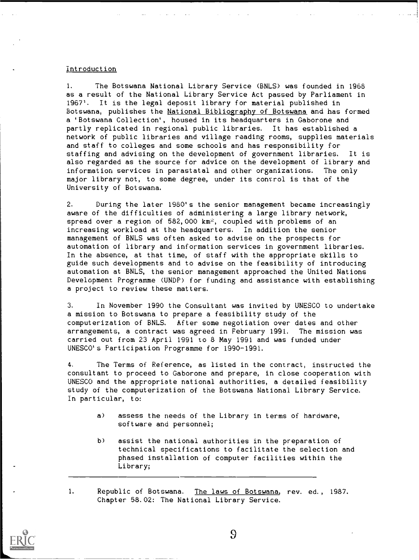## Introduction

1. The Botswana National Library Service (BNLS) was founded in 1968 as a result of the National Library Service Act passed by Parliament in 1967'. It is the legal deposit library for material published in Botswana, publishes the National Bibliography of Botswana and has formed a 'Botswana Collection', housed in its headquarters in Gaborone and partly replicated in regional public libraries. It has established a network of public libraries and village reading rooms, supplies materials and staff to colleges and some schools and has responsibility for staffing and advising on the development of government libraries. It is also regarded as the source for advice on the development of library and information services in parastatal and other organizations. The only major library not, to some degree, under its control is that of the University of Botswana.

2. During the later 1980's the senior management became increasingly aware of the difficulties of administering a large library network, spread over a region of 582,000  $km^2$ , coupled with problems of an increasing workload at the headquarters. In addition the senior management of BNLS was often asked to advise on the prospects for automation of library and information services in government libraries. In the absence, at that time, of staff with the appropriate skills to guide such developments and to advise on the feasibility of introducing automation at BNLS, the senior management approached the United Nations Development Programme (UNDP) for funding and assistance with establishing a project to review these matters.

3. In November 1990 the Consultant was invited by UNESCO to undertake a mission to Botswana to prepare a feasibility study of the computerization of BNLS. After some negotiation over dates and other arrangements, a contract was agreed in February 1991. The mission was carried out from 23 April 1991 to 8 May 1991 and was funded under UNESCO's Participation Programme for 1990-1991.

4. The Terms of Reference, as listed in the contract, instructed the consultant to proceed to Gaborone and prepare, in close cooperation with UNESCO and the appropriate national authorities, a detailed feasibility study of the computerization of the Botswana National Library Service. In particular, to:

- a) assess the needs of the Library in terms of hardware, software and personnel;
- b) assist the national authorities in the preparation of technical specifications to facilitate the selection and phased installation of computer facilities within the Library;

1. Republic of Botswana. The laws of Botswana, rev. ed., 1987. Chapter 58.02: The National Library Service.

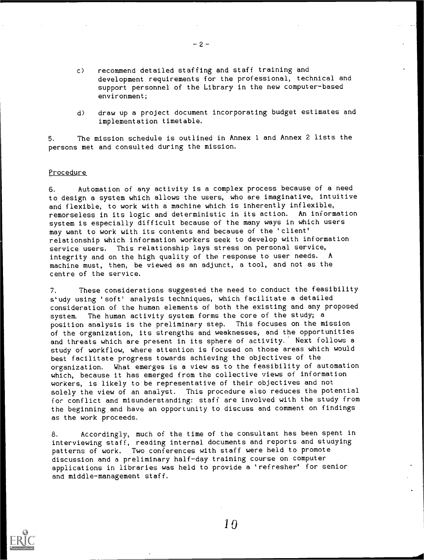- c) recommend detailed staffing and staff training and development requirements for the professional, technical and support personnel of the Library in the new computer-based environment;
- d) draw up a project document incorporating budget estimates and implementation timetable.

5. The mission schedule is outlined in Annex 1 and Annex 2 lists the persons met and consulted during the mission.

 $-2-$ 

#### Procedure

6. Automation of any activity is a complex process because of a need to design a system which allows the users, who are imaginative, intuitive and flexible, to work with a machine which is inherently inflexible, remorseless in its logic and deterministic in its action. An information system is especially difficult because of the many ways in which users may want to work with its contents and because of the 'client' relationship which information workers seek to develop with information service users. This relationship lays stress on personal service, integrity and on the high quality of the response to user needs. A machine must, then, be viewed as an adjunct, a tool, and not as the centre of the service.

7. These considerations suggested the need to conduct the feasibility study using 'soft' analysis techniques, which facilitate a detailed consideration of the human elements of both the existing and any proposed system. The human activity system forms the core of the study; a position analysis is the preliminary step. This focuses on the mission of the organization, its strengths and weaknesses, and the opportunities and threats which are present in its sphere of activity. Next follows a study of workflow, where attention is focused on those areas which would best facilitate progress towards achieving the objectives of the organization. What emerges is a view as to the feasibility of automation which, because it has emerged from the collective views of information workers, is likely to be representative of their objectives and not solely the view of an analyst. This procedure also reduces the potential for conflict and misunderstanding: staff are involved with the study from the beginning and have an opportunity to discuss and comment on findings as the work proceeds.

8. Accordingly, much of the time of the consultant has been spent in interviewing staff, reading internal documents and reports and studying patterns of work. Two conferences with staff were held to promote discussion and a preliminary half-day training course on computer applications in libraries was held to provide a 'refresher' for senior and middle-management staff.



10

 $\overline{\phantom{a}}$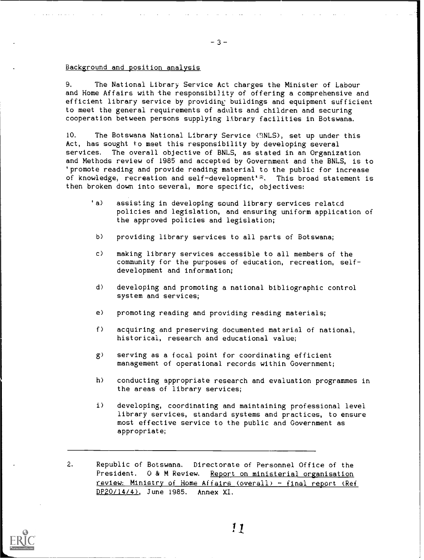## Background and position analysis

9. The National Library Service Act charges the Minister of Labour and Home Affairs with the responsibility of offering a comprehensive and efficient library service by providing buildings and equipment sufficient to meet the general requirements of adults and children and securing cooperation between persons supplying lthrary facilities in Botswana.

10. The Botswana National Library Service CINLS), set up under this Act, has sought to meet this responsibility by developing several services. The overall objective of BNLS, as stated in an Organization and Methods review of 1985 and accepted by Government and the BNLS, is to 'promote reading and provide reading material to the public for increase of knowledge, recreation and self development's. This broad statement is then broken down into several, more specific, objectives:

- 'a) assisting in developing sound library services related policies and legislation, and ensuring uniform application of the approved policies and legislation;
	- b) providing library services to all parts of Botswana;
	- c) making library services accessible to all members of the community for the purposes of education, recreation, selfdevelopment and information;
	- d) developing and promoting a national bibliographic control system and services;
	- e) promoting reading and providing reading materials;
	- f) acquiring and preserving documented material of national, historical, research and educational value;
	- g) serving as a focal point for coordinating efficient management of operational records within Government;
	- h) conducting appropriate research and evaluation programmes in the areas of library services;
	- i) developing, coordinating and maintaining professional level library services, standard systems and practices, to ensure most effective service to the public and Government as appropriate;

2. Republic of Botswana. Directorate of Personnel Office of the President. 0 & M Review. Report on ministerial organisation review: Ministry of Home Affairs (overall) - final report (Ref DP20/14/4), June 1985. Annex XI.



ii

-3-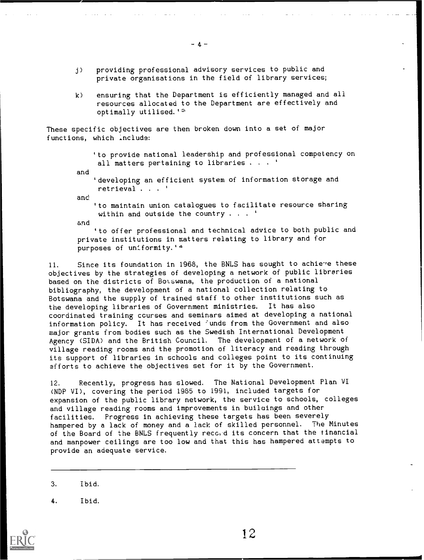- j) providing professional advisory services to public and private organisations in the field of library services;
- k) ensuring that the Department is efficiently managed and all resources allocated to the Department are effectively and optimally utilised.'2'

These specific objectives are then broken down into a set of major functions, which include:

> 'to provide national leadership and professional competency on all matters pertaining to libraries  $\cdots$

and

'developing an efficient system of information storage and retrieval . . . '

and

'to maintain union catalogues to facilitate resource sharing within and outside the country . . . '

and

'to offer professional and technical advice to both public and private institutions in matters relating to library and for purposes of uniformity.'<sup>4</sup>

11. Since its foundation in 1968, the BNLS has sought to achieve these objectives by the strategies of developing a network of public libraries based on the districts of Botswana, the production of a national bibliography, the development of a national collection relating to Botswana and the supply of trained staff to other institutions such as the developing libraries of Government ministries. It has also coordinated training courses and seminars aimed at developing a national information policy. It has received 'unds from the Government and also major grants from bodies such as the Swedish International Development Agency (SIDA) and the British Council. The development of a network of village reading rooms and the promotion of literacy and reading through its support of libraries in schools and colleges point to its continuing efforts to achieve the objectives set for it by the Government.

12. Recently, progress has slowed. The National Development Plan VI (NDP VI), covering the period 1985 to 1991, included targets for expansion of the public library network, the service to schools, colleges and village reading rooms and improvements in builaings and other facilities. Progress in achieving these targets has been severely hampered by a lack of money and a lack of skilled personnel. The Minutes of the Board of the BNLS frequently reco, d its concern that the financial and manpower ceilings are too low and that this has hampered attempts to provide an adequate service.

3. Ibid.

4. Ibid.

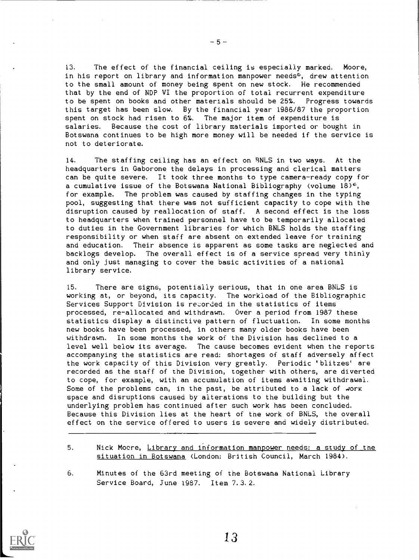13. The effect of the financial ceiling is especially marked. Moore, in his report on library and information manpower needs<sup>5</sup>, drew attention to the small amount of money being spent on new stock. He recommended that by the end of NDP VI the proportion of total recurrent expenditure to be spent on books and other materials should be 25%. Progress towards this target has been slow. By the financial year 1986/87 the proportion spent on stock had risen to 6%. The major item of expenditure is salaries. Because the cost of library materials imported or bought in Botswana continues to be high more money will be needed if the service is not to deteriorate.

14. The staffing ceiling has an effect on BNLS in two ways. At the headquarters in Gaborone the delays in processing and clerical matters can be quite severe. It took three months to type camera-ready copy for a cumulative issue of the Botswana National Bibliography (volume  $18^{6}$ , for example. The problem was caused by staffing changes in the typing pool, suggesting that there was not sufficient capacity to cope with the disruption caused by reallocation of staff. A second effect is the loss to headquarters when trained personnel have to be temporarily allocated to duties in the Government libraries for which BNLS holds the staffing responsibility or when staff are absent on extended leave for training and education. Their absence is apparent as some tasks are neglected and backlogs develop. The overall effect is of a service spread very thinly and only just managing to cover the basic activities of a national library service.

15. There are signs, potentially serious, that in one area BNLS is working at, or beyond, its capacity. The workload of the Bibliographic Services Support Division is recorded in the statistics of items processed, re-allocated and withdrawn. Over a period from 1987 these statistics display a distinctive pattern of fluctuation. In some months new books have been processed, in others many older books have been withdrawn. In some months the work of the Division has declined to a level well below its average. The cause becomes evident when the reports accompanying the statistics are read: shortages of staff adversely affect the work capacity of this Division very greatly. Periodic 'blitzes' are recorded as the staff of the Division, together with others, are diverted to cope, for example, with an accumulation of items awaiting withdrawal. Some of the problems can, in the past, be attributed to a lack of work space and disruptions caused by alterations to the building but the underlying problem has continued after such work has been concluded. Because this Division lies at the heart of the work of BNLS, the overall effect on the service offered to users is severe and widely distributed.

- 5. Nick Moore, Library and information manpower needs: a study of the situation in Botswana (London: British Council, March 1984).
- 6. Minutes of the 63rd meeting of the Botswana National Library Service Board, June 1967. Item 7.3.2.



 $-5-$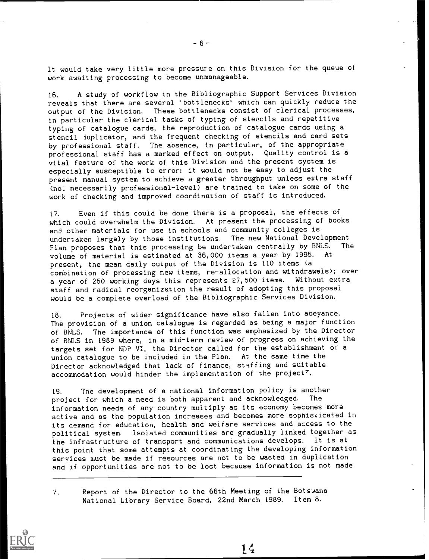It would take very little more pressure on this Division for the queue of work awaiting processing to become unmanageable.

16. A study of workflow in the Bibliographic Support Services Division reveals that there are several 'bottlenecks' which can quickly reduce the output of the Division. These bottlenecks consist of clerical processes, in particular the clerical tasks of typing of stencils and repetitive typing of catalogue cards, the reproduction of catalogue cards using a stencil iuplicator, and the frequent checking of stencils and card sets by professional staff. The absence, in particular, of the appropriate professional staff has a marked effect on output. Quality control is a vital feature of the work of this Division and the present system is especially susceptible to error: it would not be easy to adjust the present manual system to achieve a greater throughput unless extra staff (no', necessarily professional-level) are trained to take on some of the work of checking and improved coordination of staff is introduced.

17. Even if this could be done there is a proposal, the effects of which could overwhelm the Division. At present the processing of books and other materials for use in schools and community colleges is undertaken largely by those institutions. The new National Development<br>Plan proposes that this processing be undertaken centrally by BNLS. The Plan proposes that this processing be undertaken centrally by BNLS.<br>Volume of material is estimated at 36,000 items a vear by 1995. At volume of material is estimated at 36,000 items a year by 1995. present, the mean daily output of the Division is 110 items (a combination of processing new items, re-allocation and withdrawals); over a year of 250 working days this represents 27,500 items. Without extra staff and radical reorganization the result of adopting this proposal would be a complete overload of the Bibliographic Services Division.

18. Projects of wider significance have also fallen into abeyance. The provision of a union catalogue is regarded as being a major function of BNLS. The importance of this function was emphasized by the Director of BNLS in 1989 where, in a mid-term review of progress on achieving the targets set for NDP VI, the Director called for the establishment of a union catalogue to be included in the Plan. At the same time the Director acknowledged that lack of finance, staffing and suitable accommodation would hinder the implementation of the project'.

19. The development of a national information policy is another<br>project for which a need is both apparent and acknowledged. The project for which a need is both apparent and acknowledged. information needs of any country multiply as its economy becomes more active and as the population increases and becomes more sophisticated in its demand for education, health and welfare services and access to the political system. Isolated communities are gradually linked together as the infrastructure of transport and communications develops. It is at this point that some attempts at coordinating the developing information services must be made if resources are not to be wasted in duplication and if opportunities are not to be lost because information is not made

1 $\mathcal{L}_t$ 

7. Report of the Director to the 66th Meeting of the Botswana National Library Service Board, 22nd March 1989. Item 8.



 $-6-$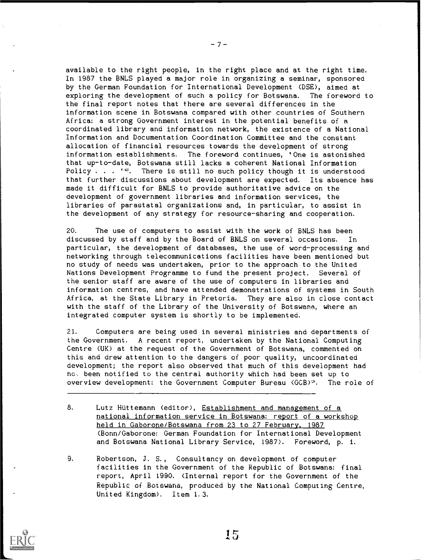available to the right people, in the right place and at the right time. In 1987 the BNLS played a major role in organizing a seminar, sponsored by the German Foundation for International Development (DSE), aimed at exploring the development of such a policy for Botswana. The foreword to the final report notes that there are several differences in the information scene in Botswana compared with other countries of Southern Africa: a strong Government interest in the potential benefits of a coordinated library and information network, the existence of a National Information and Documentation Coordination Committee and the constant allocation of financial resources towards the development of strong information establishments. The foreword continues, 'One is astonished that up-to-date, Botswana still lacks a coherent National information Policy . . .  $1e$ . There is still no such policy though it is understood that further discussions about development are expected. Its absence has made it difficult for BNLS to provide authoritative advice on the development of government libraries and information services, the libraries of parastatal organizations and, in particular, to assist in the development of any strategy for resource-sharing and cooperation.

20. The use of computers to assist with the work of BNLS has been discussed by staff and by the Board of BNLS on several occasions. In particular, the development of databases, the use of word-processing and networking through telecommunications facilities have been mentioned but no study of needs was undertaken, prior to the approach to the United Nations Development Programme to fund the present project. Several of the senior staff are aware of the use of computers in libraries and information centres, and have attended demonstrations of systems in South Africa, at the State Library in Pretoria. They are also in close contact with the staff of the Library of the University of Botswana, where an integrated computer system is shortly to be implemented.

21. Computers are being used in several ministries and departments of the Government. A recent report, undertaken by the National Computing Centre (UK) at the request of the Government of Botswana, commented on this and drew attention to the dangers of poor quality, uncoordinated development; the report also observed that much of this development had no, been notified to the central authority which had been set up to overview development: the Government Computer Bureau (GCB)<sup>9</sup>. The role of

- 8. Lutz Hüttemann (editor), Establishment and management of a national information service in Botswana: report of a workshop held in Gaborone/Botswana from 23 to 27 February, 1987 (Bonn/Gaborone: German Foundation for International Development and Botswana National Library Service, 1987). Foreword, p. 1.
- 9. Robertson, 3. S., Consultancy on development of computer facilities in the Government of the Republic of Botswana: final report, April 1990. (Internal report for the Government of the Republic of Botswana, produced by the National Computing Centre, United Kingdom). Item 1.3.



-7-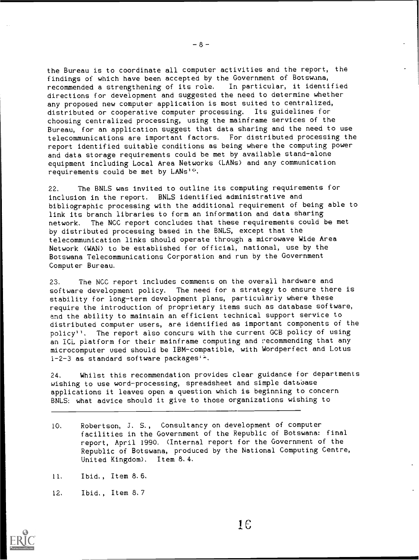the Bureau is to coordinate all computer activities and the report, the findings of which have been accepted by the Government of Botswana,<br>recommended a strengthening of its role. In particular, it identified recommended a strengthening of its role. directions for development and suggested the need to determine whether any proposed new computer application is most suited to centralized, distributed or cooperative computer processing. Its guidelines for choosing centralized processing, using the mainframe services of the Bureau, for an application suggest that data sharing and the need to use telecommunications are important factors. For distributed processing the report identified suitable conditions as being where the computing power and data storage requirements could be met by available stand-alone equipment including Local Area Networks (LANs) and any communication requirements could be met by LANs1°.

22. The BNLS was invited to outline its computing requirements for inclusion in the report. BNLS identified administrative and bibliographic processing with the additional requirement of being able to link its branch libraries to form an information and data sharing network. The NCC report concludes that these requirements could be met by distributed processing based in the BNLS, except that the telecommunication links should operate through a microwave Wide Area Network (WAN) to be established for official, national, use by the Botswana Telecommunications Corporation and run by the Government Computer Bureau.

23. The NCC report includes comments on the overall hardware and software development policy. The need for a strategy to ensure there is stability for long-term development plans, particularly where these require the introduction of proprietary items such as database software, and the ability to maintain an efficient technical support service to distributed computer users, are identified as important components of the policy", The report also concurs with the current GCB policy of using an ICL platform for their mainframe computing and recommending that any microcomputer used should be IBM-compatible, with Wordperfect and Lotus 1-2-3 as standard software packages'''.

24. Whilst this recommendation provides clear guidance for departments wishing to use word-processing, spreadsheet and simple database applications it leaves open a question which is beginning to concern BNLS: what advice should it give to those organizations wishing to

- 10. Robertson, J. S., Consultancy on development of computer facilities in the Government of the Republic of Botswana: final report, April 1990. (Internal report for the Government of the Republic of Botswana, produced by the National Computing Centre, United Kingdom). Item 8.4.
- 11. Ibid., Item 8.6.
- 12. Ibid. , Item 8.7



 $-8-$ 

 $1<sub>f</sub>$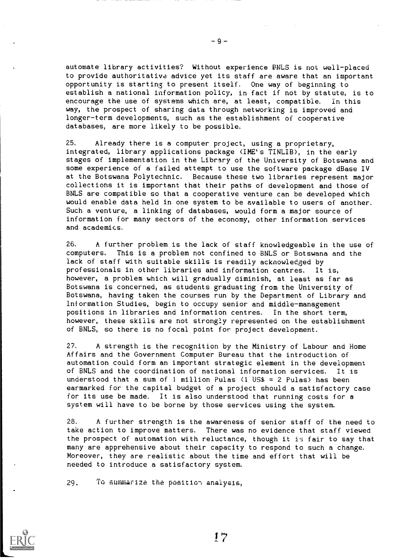automate library activities? Without experience ENLS is not well-placed to provide authoritative advice yet its staff are aware that an important opportunity is starting to present itself. One way of beginning to establish a national information policy, in fact if not by statute, is to encourage the use of systems which are, at least, compatible. In this way, the prospect of sharing data through networking is improved and longer-term developments, such as the establishment of cooperative databases, are more likely to be possible.

25. Already there is a computer project, using a proprietary, integrated, library applications package (IME's TINLIB), in the early stages of implementation in the Library of the University of Botswana and some experience of a failed attempt to use the software package dBase IV at the Botswana Polytechnic. Because these two libraries represent major collections it is important that their paths of development and those of BNLS are compatible so that a cooperative venture can be developed which would enable data held in one system to be available to users of another. Such a venture, a linking of databases, would form a major source of information for many sectors of the economy, other information services and academics.

26. A further problem is the lack of staff knowledgeable in the use of computers. This is a problem not confined to BNLS or Botswana and the lack of staff with suitable skills is readily acknowledged by professionals in other libraries and information centres. It is, however, a problem which will gradually diminish, at least as far as Botswana is concerned, as students graduating from the University of Botswana, having taken the courses run by the Department of Library and Information Studies, begin to occupy senior and middle-management positions in libraries and information centres. In the short term, however, these skills are not strongly represented on the establishment of BNLS, so there is no focal point for project development.

27. A strength is the recognition by the Ministry of Labour and Home Affairs and the Government Computer Bureau that the introduction of automation could form an important strategic element in the development of BNLS and the coordination of national information services. It is understood that a sum of 1 million Pulas  $(1 \text{ US$} = 2 \text{ Pulas})$  has been earmarked for the capital budget of a project should a satisfactory case for its use be made. It is also understood that running costs for a system will have to be borne by those services using the system.

28. A further strength is the awareness of senior staff of the need to take action to improve matters. There was no evidence that staff viewed the prospect of automation with reluctance, though it is fair to say that many are apprehensive about their capacity to respond to such a change. Moreover, they are realistic about the time and effort that will be needed to introduce a satisfactory system.

 $29.$  To summarize the position analysis,

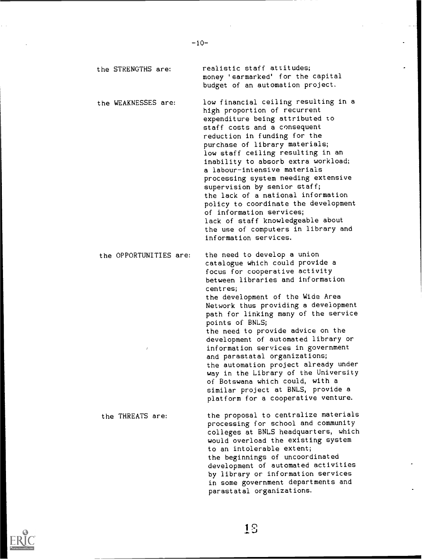the STRENGTHS are: the WEAKNESSES are: the OPPORTUNITIES are: the THREATS are: realistic staff attitudes; money 'earmarked' for the capital budget of an automation project. low financial ceiling resulting in a high proportion of recurrent expenditure being attributed to staff costs and a consequent reduction in funding for the purchase of library materials; low staff ceiling resulting in an inability to absorb extra workload; a labour-intensive materials processing system needing extensive supervision by senior staff; the lack of a national information policy to coordinate the development of information services; lack of staff knowledgeable about the use of computers in library and information services. the need to develop a union catalogue which could provide a focus for cooperative activity between libraries and information centres; the development of the Wide Area Network thus providing a development path for linking many of the service points of BNLS; the need to provide advice on the development of automated library or information services in government and parastatal organizations; the automation project already under way in the Library of the University of Botswana which could, with a similar project at BNLS, provide a platform for a cooperative venture. the proposal to centralize materials processing for school and community colleges at BNLS headquarters, which would overload the existing system to an intolerable extent; the beginnings of uncoordinated development of automated activities by library or information services in some government departments and



parastatal organizations.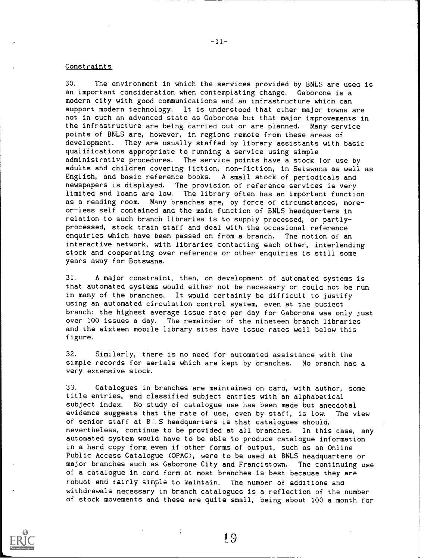## Constraints

30. The environment in which the services provided by BNLS are usea is an important consideration when contemplating change. Gaborone is a modern city with good communications and an infrastructure which can support modern technology. It is understood that other major towns are not in such an advanced state as Gaborone but that major improvements in the infrastructure are being carried out or are planned. Many service points of BNLS are, however, in regions remote from these areas of development. They are usually staffed by library assistants with basic qualifications appropriate to running a service using simple administrative procedures. The service points have a stock for use by adults and children covering fiction, non-fiction, in Setswana as well as English, and basic reference books. A small stock of periodicals and newspapers is displayed. The provision of reference services is very limited and loans are low. The library often has an important function as a reading room. Many branches are, by force of circumstances, moreor-less self contained and the main function of BNLS headquarters in relation to such branch libraries is to supply processed, or partlyprocessed, stock train staff and deal with the occasional reference enquiries which have been passed on from a branch. The notion of an enquiries which have been passed on from a branch. interactive network, with libraries contacting each other, interlending stock and cooperating over reference or other enquiries is still some years away for Botswana.

31. A major constraint, then, on development of automated systems is that automated systems would either not be necessary or could not be run in many of the branches. It would certainly be difficult to justify using an automated circulation control system, even at the busiest branch: the highest average issue rate per day for Gaborone was only just over 100 issues a day. The remainder of the nineteen branch libraries and the sixteen mobile library sites have issue rates well below this figure.

32. Similarly, there is no need for automated assistance with the simple records for serials which are kept by branches. No branch has a very extensive stock.

33. Catalogues in branches are maintained on card, with author, some title entries, and classified subject entries with an alphabetical subject index. No study of catalogue use has been made but anecdotal evidence suggests that the rate of use, even by staff, is low. The view of senior staff at  $B \subseteq S$  headquarters is that catalogues should, nevertheless, continue to be provided at all branches. In this case, any automated system would have to be able to produce catalogue information in a hard copy form even if other forms of output, such as an Online Public Access Catalogue (OPAC), were to be used at BNLS headquarters or major branches such as Gaborone City and Francistown. The continuing use of a catalogue in card form at most branches is best because they are robust and fairly simple to maintain. The number of additions and withdrawals necessary in branch catalogues is a reflection of the number of stock movements and these are quite small, being about 100 a month for



 $-11-$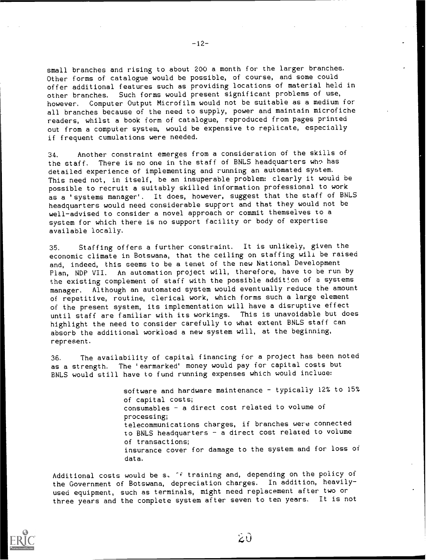small branches and rising to about 200 a month for the larger branches. Other forms of catalogue would be possible, of course, and some could offer additional features such as providing locations of material held in other branches. Such forms would present significant problems of use, however. Computer Output Microfilm would not be suitable as a medium for all branches because of the need to supply, power and maintain microfiche readers, whilst a book form of catalogue, reproduced from pages printed out from a computer system, would be expensive to replicate, especially if frequent cumulations were needed.

34. Another constraint emerges from a consideration of the skills of the staff. There is no one in the staff of BNLS headquarters who has detailed experience of implementing and running an automated system. This need not, in itself, be an insuperable problem: clearly it would be possible to recruit a suitably skilled information professional to work as a 'systems manager'. It does, however, suggest that the staff of BNLS headquarters would need considerable support and that they would not be well-advised to consider a novel approach or commit themselves to a system for which there is no support facility or body of expertise available locally.

35. Staffing offers a further constraint. It is unlikely, given the economic climate in Botswana, that the ceiling on staffing will be raised and, indeed, this seems to be a tenet of the new National Development Plan, NDP VII. An automation project will, therefore, have to be run by the existing complement of staff with the possible addition of a systems manager. Although an automated system would eventually reduce the amount of repetitive, routine, clerical work, which forms such a large element of the present system, its implementation will have a disruptive effect until staff are familiar with its workings. This is unavoidable but does highlight the need to consider carefully to what extent BNLS staff can absorb the additional workload a new system will, at the beginning, represent.

36. The availability of capital financing for a project has been noted as a strength. The 'earmarked' money would pay for capital costs but BNLS would still have to fund running expenses which would incluae:

> software and hardware maintenance - typically 12% to 15% of capital costs; consumables - a direct cost related to volume of processing; telecommunications charges, if branches were connected to BNLS headquarters - a direct cost related to volume of transactions; insurance cover for damage to the system and for loss of data.

Additional costs would be s. ^f training and, depending on the policy of the Government of Botswana, depreciation charges. In addition, heavilyused equipment, such as terminals, might need replacement after two or three years and the complete system after seven to ten years. It is not



 $-12-$ 

ŹÛ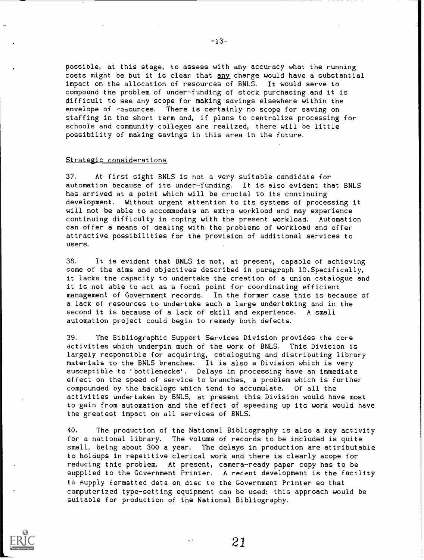possible, at this stage, to assess with any accuracy what the running costs might be but it is clear that any charge would have a substantial impact on the allocation of resources of BNLS. It would serve to compound the problem of under-funding of stock purchasing and it is difficult to see any scope for making savings elsewhere within the envelope of resources. There is certainly no scope for saving on staffing in the short term and, if plans to centralize processing for schools and community colleges are realized, there will be little possibility of making savings in this area in the future.

## Strategic considerations

37. At first sight BNLS is not a very suitable candidate for automation because of its under-funding. It is also evident that BNLS has arrived at a point which will be crucial to its continuing development. Without urgent attention to its systems of processing it will not be able to accommodate an extra workload and may experience continuing difficulty in coping with the present workload. Automation can offer a means of dealing with the problems of workload and offer attractive possibilities for the provision of additional services to users.

38. It is evident that BNLS is not, at present, capable of achieving some of the aims and objectives described in paragraph 10.Specifically, it lacks the capacity to undertake the creation of a union catalogue and it is not able to act as a focal point for coordinating efficient management of Government records. In the former case this is because of a lack of resources to undertake such a large undertaking and in the second it is because of a lack of skill and experience. A small automation project could begin to remedy both defects.

39. The Bibliographic Support Services Division provides the core activities which underpin much of the work of BNLS. This Division is largely responsible for acquiring, cataloguing and distributing library materials to the BNLS branches. It is also a Division which is very susceptible to 'bottlenecks'. Delays in processing have an immediate effect on the speed of service to branches, a problem which is further compounded by the backlogs which tend to accumulate. Of all the activities undertaken by BNLS, at present this Division would have most to gain from automation and the effect of speeding up its work would have the greatest impact on all services of BNLS.

40. The production of the National Bibliography is also a key activity for a national library. The volume of records to be included is quite small, being about 300 a year. The delays in production are attributable to holdups in repetitive clerical work and there is clearly scope for reducing this problem. At present, camera-ready paper copy has to be supplied to the Government Printer. A recent development is the facility to supply formatted data on disc to the Government Printer so that computerized type-setting equipment can be used: this approach would be suitable for production of the National Bibliography.



-13-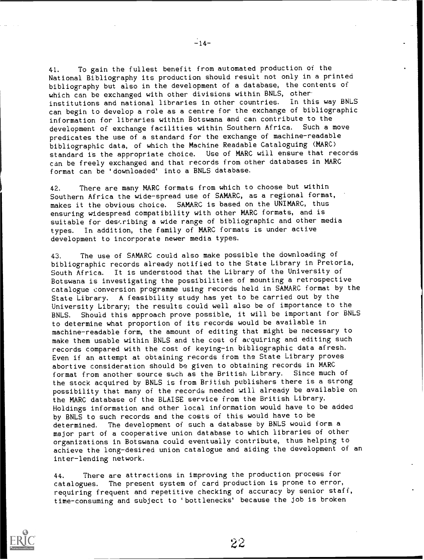41. To gain the fullest benefit from automated production of the National Bibliography its production should result not only in a printed bibliography but also in the development of a database, the contents of which can be exchanged with other divisions within BNLS, otherinstitutions and national libraries in other countries. In this way BNLS can begin to develop a role as a centre for the exchange of bibliographic information for libraries within Botswana and can contribute to the development of exchange facilities within Southern Africa. Such a move predicates the use of a standard for the exchange of machine-readable bibliographic data, of which the Machine Readable Cataloguing (MARC) standard is the appropriate choice. Use of MARC will ensure that records can be freely exchanged and that records from other databases in MARC format can be 'downloaded' into a BNLS database.

42. There are many MARC formats from which to choose but within Southern Africa the wide-spread use of SAMARC, as a regional format, makes it the obvious choice. SAMARC is based on the UNIMARC, thus ensuring widespread compatibility with other MARC formats, and is suitable for describing a wide range of bibliographic and other media types. In addition, the family of MARC formats is under active development to incorporate newer media types.

43. The use of SAMARC could also make possible the downloading of bibliographic records already notified to the State Library in Pretoria, South Africa. It is understood that the Library of the University of Botswana is investigating the possibilities of mounting a retrospective catalogue conversion programme using records held in SAMARC format by the State Library. A feasibility study has yet to be carried out by the University Library; the results could well also be of importance to the BNLS. Should this approach prove possible, it will be important for BNLS to determine what proportion of its records would be available in machine-readable form, the amount of editing that might be necessary to make them usable within BNLS and the cost of acquiring and editing such records compared with the cost of keying-in bibliographic data afresh. Even if an attempt at obtaining records from the State Library proves abortive consideration should be given to obtaining records in MARC format from another source such as the British Library. Since much of the stock acquired by BNLS is from British publishers there is a strong possibility that many of the records needed will already be available on the MARC database of the BLAISE service from the British Library. Holdings information and other local information would have to be added by BNLS to such records and the costs of this would have to be determined. The development of such a database by BNLS would form a major part of a cooperative union database to which libraries of other organizations in Botswana could eventually contribute, thus helping to achieve the long-desired union catalogue and aiding the development of an inter-lending network.

44. There are attractions in improving the production process for catalogues. The present system of card production is prone to error, requiring frequent and repetitive checking of accuracy by senior staff, time-consuming and subject to 'bottlenecks' because the job is broken



 $22$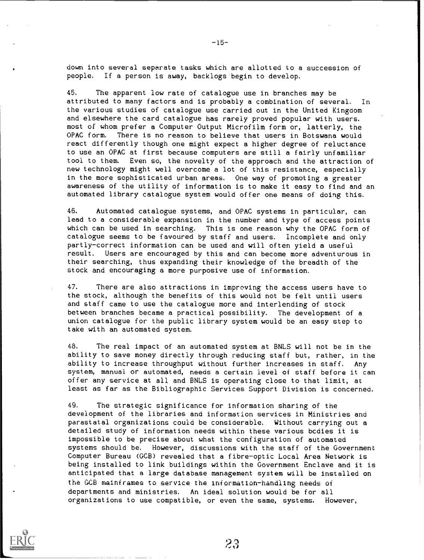down into several separate tasks which are allotted to a succession of people. If a person is away, backlogs begin to develop.

45. The apparent low rate of catalogue use in branches may be attributed to many factors and is probably a combination of several. In the various studies of catalogue use carried out in the United Kingdom and elsewhere the card catalogue has rarely proved popular with users. most of whom prefer a Computer Output Microfilm form or, latterly, the<br>OPAC form. There is no reason to believe that users in Botswana would There is no reason to believe that users in Botswana would react differently though one might expect a higher degree of reluctance to use an OPAC at first because computers are still a fairly unfamiliar tool to them. Even so, the novelty of the approach and the attraction of new technology might well overcome a lot of this resistance, especially in the more sophisticated urban areas. One way of promoting a greater awareness of the utility of information is to make it easy to find and an automated library catalogue system would offer one means of doing this.

46. Automated catalogue systems, and OPAC systems in particular, can lead to a considerable expansion in the number and type of access points which can be used in searching. This is one reason why the OPAC form of catalogue seems to be favoured by staff and users. Incomplete and only partly-correct information can be used and will often yield a useful result. Users are encouraged by this and can become more adventurous in their searching, thus expanding their knowledge of the breadth of the stock and encouraging a more purposive use of information.

47. There are also attractions in improving the access users have to the stock, although the benefits of this would not be felt until users and staff came to use the catalogue more and interlending of stock between branches became a practical possibility. The development of a union catalogue for the public library system would be an easy step to take with an automated system.

48. The real impact of an automated system at BNLS will not be in the ability to save money directly through reducing staff but, rather, in the ability to increase throughput without further increases in staff. Any system, manual or automated, needs a certain level of staff before it can offer any service at all and BNLS is operating close to that limit, at least as far as the Bibliographic Services Support Division is concerned.

49. The strategic significance for information sharing of the development of the libraries and information services in Ministries and parastatal organizations could be considerable. Without carrying out a detailed study of information needs within these various bcdies it is impossible to be precise about what the configuration of automated systems should be. However, discussions with the staff of the Government Computer Bureau (GCB) revealed that a fibre-optic Local Area Network is being installed to link buildings within the Government Enclave and it is anticipated that a large database management system will be installed on the GCB mainframes to service the information-handling needs of departments and ministries. An ideal solution would be for all organizations to use compatible, or even the same, systems. However,



 $-15-$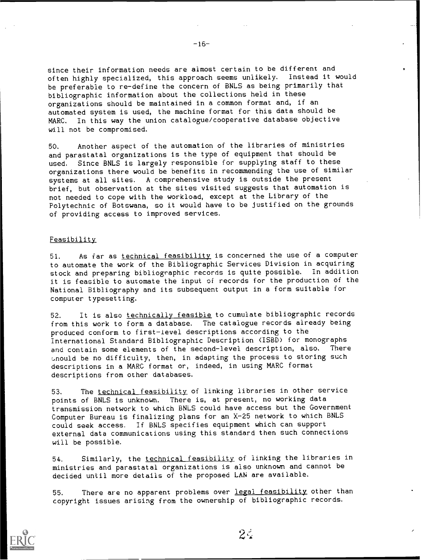since their information needs are almost certain to be different and often highly specialized, this approach seems unlikely. Instead it would be preferable to re-define the concern of BNLS as being primarily that bibliographic information about the collections held in these organizations should be maintained in a common format and, if an automated system is used, the machine format for this data should be MARC. In this way the union catalogue/cooperative database objective will not be compromised.

50. Another aspect of the automation of the libraries of ministries and parastatal organizations is the type of equipment that should be used. Since BNLS is largely responsible for supplying staff to these organizations there would be benefits in recommending the use of similar systems at all sites. A comprehensive study is outside the present brief, but observation at the sites visited suggests that automation is not needed to cope with the workload, except at the Library of the Polytechnic of Botswana, so it would have to be justified on the grounds of providing access to improved services.

## **Feasibility**

51. As far as technical feasibility is concerned the use of a computer to automate the work of the Bibliographic Services Division in acquiring stock and preparing bibliographic records is quite possible. In addition it is feasible to automate the input of records for the production of the National Bibliography and its subsequent output in a form suitable for computer typesetting.

52. It is also technically feasible to cumulate bibliographic records from this work to form a database. The catalogue records already being produced conform to first-level descriptions according to the International Standard Bibliographic Description (ISBD) for monographs and contain some elements of the second-level description, also. There snould be no difficulty, then, in adapting the process to storing such descriptions in a MARC format or, indeed, in using MARC format descriptions from other databases.

53. The technical feasibility of linking libraries in other service points of BNLS is unknown. There is, at present, no working data transmission network to which BNLS could have access but the Government Computer Bureau is finalizing plans for an X-25 network to which BNLS could seek access. If BNLS specifies equipment which can support external data communications using this standard then such connections will be possible.

54. Similarly, the technical feasibility of linking the libraries in ministries and parastatal organizations is also unknown and cannot be decided until more details of the proposed LAN are available.

55. There are no apparent problems over legal feasibility other than copyright issues arising from the ownership of bibliographic records.



 $-16-$ 

 $2\zeta$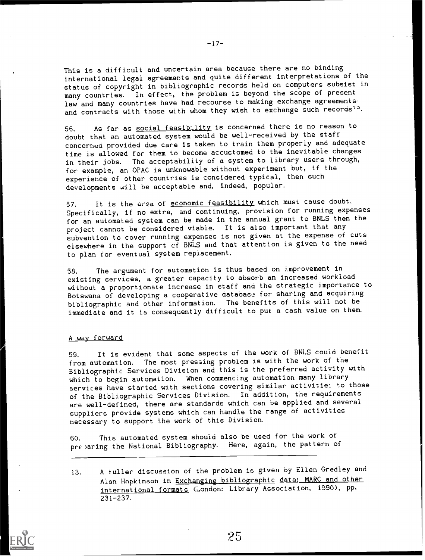This is a difficult and uncertain area because there are no binding international legal agreements and quite different interpretations of the status of copyright in bibliographic records held on computers subsist in many countries. In effect, the problem is beyond the scope of present law and many countries have had recourse to making exchange agreementsand contracts with those with whom they wish to exchange such records'<sup>3</sup>.

56. As far as social feasibulity is concerned there is no reason to doubt that an automated system would be well-received by the staff concerned provided due care is taken to train them properly and adequate time is allowed for them to become accustomed to the inevitable changes in their jobs. The acceptability of a system to library users through, for example, an OPAC is unknowable without experiment but, if the experience of other countries is considered typical, then such developments will be acceptable and, indeed, popular.

57. It is the area of economic feasibility which must cause doubt. Specifically, if no extra, and continuing, provision for running expenses for an automated system can be made in the annual grant to BNLS then the project cannot be considered viable. It is also important that any subvention to cover running expenses is not given at the expense of cuts elsewhere in the support of BNLS and that attention is given to the need to plan for eventual system replacement.

58. The argument for automation is thus based on improvement in existing services, a greater capacity to absorb an increased workload without a proportionate increase in staff and the strategic importance to Botswana of developing a cooperative database for sharing and acquiring bibliographic and other information. The benefits of this will not be immediate and it is consequently difficult to put a cash value on them.

## A way forward

59. It is evident that some aspects of the work of BNLS could benefit from automation. The most pressing problem is with the work of the Bibliographic Services Division and this is the preferred activity with which to begin automation. When commencing automation many library services have started with sections covering similar activities to those of the Bibliographic Services Division. In addition, the requirements are well-defined, there are standards which can be applied and several suppliers provide systems which can handle the range of activities necessary to support the work of this Division.

60. This automated system should also be used for the work of pre)aring the National Bibliography. Here, again, the pattern of

13. A fuller discussion of the problem is given by Ellen Gredley and Alan Hopkinson in Exchanging bibliographic data: MARC and other international formats (London: Library Association, 1990), pp. 231-237.



 $-17-$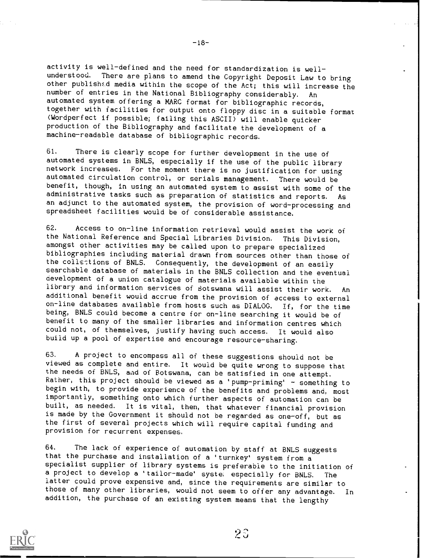activity is well-defined and the need for standardization is well-<br>understood. There are plans to amend the Convright Donogit Leu to There are plans to amend the Copyright Deposit Law to bring other publisht.d media within the scope of the Act; this will increase the number of entries in the National Bibliography considerably. An automated system offering a MARC format for bibliographic records, together with facilities for output onto floppy disc in a suitable format Nordperfect if possible; failing this ASCII) will enable quicker production of the Bibliography and facilitate the development of a machine-readable database of bibliographic records.

61. There is clearly scope for further development in the use of automated systems in BNLS, especially if the use of the public library network increases. For the moment there is no justification for using automated circulation control, or serials management. There would be benefit, though, in using an automated system to assist with some of the administrative tasks such as preparation of statistics and reports. As an adjunct to the automated system, the provision of word-processing and spreadsheet facilities would be of considerable assistance.

62. Access to on-line information retrieval would assist the work of the National Reference and Special Libraries Division. This Division, amongst other activities may be called upon to prepare specialized bibliographies including material drawn from sources other than those of the collstions of BNLS. Consequently, the development of an easily searchable database of materials in the BNLS collection and the eventual development of a union catalogue of materials available within the library and information services of Botswana will assist their work. An additional benefit would accrue from the provision of access to external on-line databases available from hosts such as DIALOG. If, for the time being, BNLS could become a centre for on-line searching it would be of benefit to many of the smaller libraries and information centres which could not, of themselves, justify having such access. It would also build up a pool of expertise and encourage resource-sharing.

63. A project to encompass all of these suggestions should not be viewed as complete and entire. It would be quite wrong to suppose that the needs of BNLS, aad of Botswana, can be satisfied in one attempt. Rather, this project should be viewed as a 'pump-priming' - something to begin with, to provide experience of the benefits and problems and, most importantly, something onto which further aspects of automation can be built, as needed. It is vital, then, that whatever financial provision is made by the Government it should not be regarded as one-off, but as the first of several projects which will require capital funding and provision for recurrent expenses.

64. The lack of experience of automation by staff at BNLS suggests that the purchase and installation of a 'turnkey' system from a specialist supplier of library systems is preferable to the initiation of a project to develop a 'tailor-made' syste; especially for BNLS. The latter could prove expensive and, since the requirements are similar to those of many other libraries, would not seem to offer any advantage. In addition, the purchase of an existing system means that the lengthy



-18--

 $23$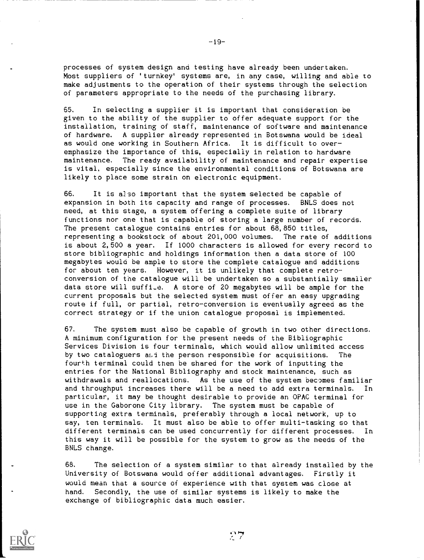processes of system design and testing have already been undertaken. Most suppliers of 'turnkey' systems are, in any case, willing and able to make adjustments to the operation of their systems through the selection of parameters appropriate to the needs of the purchasing library.

65. In selecting a supplier it is important that consideration be given to the ability of the supplier to offer adequate support for the installation, training of staff, maintenance of software and maintenance of hardware. A supplier already represented in Botswana would be ideal as would one working in Southern Africa. It is difficult to overemphasize the importance of this, especially in relation to hardware maintenance. The ready availability of maintenance and repair expertise is vital, especially since the environmental conditions of Botswana are likely to place some strain on electronic equipment.

66. It is also important that the system selected be capable of expansion in both its capacity and range of processes. BNLS does not need, at this stage, a system offering a complete suite of library functions nor one that is capable of storing a large number of records. The present catalogue contains entries for about 68,850 titles, representing a bookstock of about 201,000 volumes. The rate of additions is about 2,500 a year. If 1000 characters is allowed for every record to store bibliographic and holdings information then a data store of 100 megabytes would be ample to store the complete catalogue and additions for about ten years. However, it is unlikely that complete retroconversion of the catalogue will be undertaken so a substantially smaller data store will suffile. A store of 20 megabytes will be ample for the current proposals but the selected system must offer an easy upgrading route if full, or partial, retro-conversion is eventually agreed as the correct strategy or if the union catalogue proposal is implemented.

67. The system must also be capable of growth in two other directions. A minimum configuration for the present needs of the Bibliographic Services Division is four terminals, which would allow unlimited access by two cataloguers and the person responsible for acquisitions. The fourth terminal could then be shared for the work of inputting the entries for the National Bibliography and stock maintenance, such as withdrawals and reallocations. As the use of the system becomes familiar and throughput increases there will be a need to add extra terminals. In particular, it may be thought desirable to provide an OPAC terminal for use in the Gaborone City library. The system must be capable of supporting extra terminals, preferably through a local network, up to say, ten terminals. It must also be able to offer multi-tasking so that different terminals can be used concurrently for different processes. In this way it will be possible for the system to grow as the needs of the BNLS change.

68. The selection of a system similar to that already installed by the University of Botswana would offer additional advantages. Firstly it would mean that a source of experience with that system was close at hand. Secondly, the use of similar systems is likely to make the exchange of bibliographic data much easier.



-19-

 $27$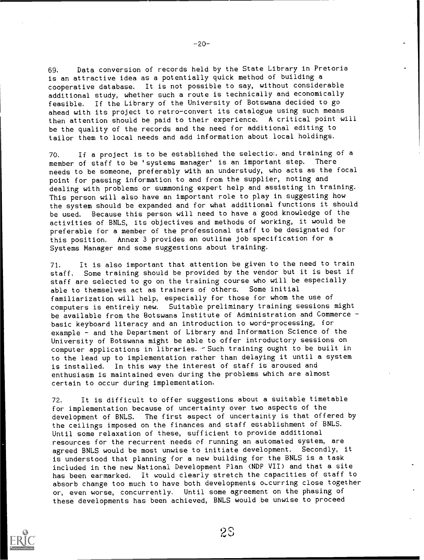69. Data conversion of records held by the State Library in Pretoria is an attractive idea as a potentially quick method of building a cooperative database. It is not possible to say, without considerable additional study, whether such a route is technically and economically feasible. If the Library of the University of Botswana decided to go ahead with its project to retro-convert its catalogue using such means then attention should be paid to their experience. A critical point will be the quality of the records and the need for additional editing to tailor them to local needs and add information about local holdings.

70. If a project is to be established the selectio: and training of a member of staff to be 'systems manager' is an important step. There member of staff to be 'systems manager' is an important step. needs to be someone, preferably with an understudy, who acts as the focal point for passing information to and from the supplier, noting and dealing with problems or summoning expert help and assisting in training. This person will also have an important role to play in suggesting how the system should be expanded and for what additional functions it should be used. Because this person will need to have a good knowledge of the activities of BNLS, its objectives and methods of working, it would be preferable for a member of the professional staff to be designated for this position. Annex 3 provides an outline job specification for a Systems Manager and some suggestions about training.

71. It is also important that attention be given to the need to train staff. Some training should be provided by the vendor but it is best if staff are selected to go on the training course who will be especially able to themselves act as trainers of others. Some initial familiarization will help, especially for those for whom the use of computers is entirely new. Suitable preliminary training sessions might be available from the Botswana Institute of Administration and Commerce basic keyboard literacy and an introduction to word-processing, for example - and the Department of Library and Information Science of the University of Botswana might be able to offer introductory sessions on computer applications in libraries. - Such training ought to be built in to the lead up to implementation rather than delaying it until a system is installed. In this way the interest of staff is aroused and enthusiasm is maintained even during the problems which are almost certain to occur during implementation.

72. It is difficult to offer suggestions about a suitable timetable for implementation because of uncertainty over two aspects of the development of BNLS. The first aspect of uncertainty is that offered by the ceilings imposed on the finances and staff establishment of BNLS. Until some relaxation of these, sufficient to provide additional resources for the recurrent needs of running an automated system, are agreed BNLS would be most unwise to initiate development. Secondly, it is understood that planning for a new building for the BNLS is a task included in the new National Development Plan (NDP VII) and that a site has been earmarked. it would clearly stretch the capacities of staff to absorb change too much to have both developments occurring close together or, even worse, concurrently. Until some agreement on the phasing of these developments has been achieved, BNLS would be unwise to proceed

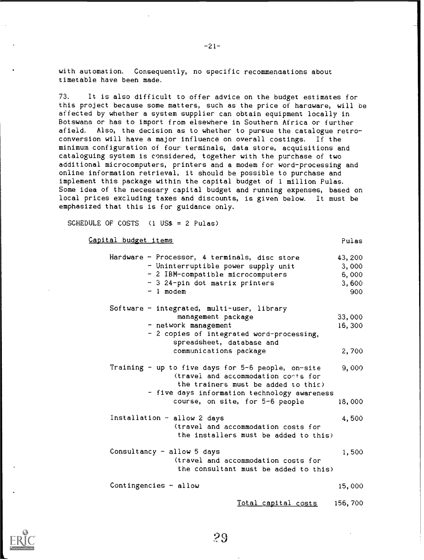with automation. Consequently, no specific recommendations about timetable have been made.

73. It is also difficult to offer advice on the budget estimates for this project because some matters, such as the price of hardware, will be affected by whether a system supplier can obtain equipment locally in Botswana or has to import from elsewhere in Southern Africa or further afield. Also, the decision as to whether to pursue the catalogue retroconversion will have a major influence on overall costings. If the minimum configuration of four terminals, data store, acquisitions and cataloguing system is considered, together with the purchase of two additional microcomputers, printers and a modem for word-processing and online information retrieval, it should be possible to purchase and implement this package within the capital budget of 1 million Pulas. Some idea of the necessary capital budget and running expenses, based on local prices excluding taxes and discounts, is given below. It must be emphasized that this is for guidance only.

SCHEDULE OF COSTS  $(1 \text{ USS} = 2 \text{ Pulas})$ 

| Capital budget items | Pulas |
|----------------------|-------|
|                      |       |

Hardware - Processor, 4 terminals, disc store 43,200 - Uninterruptible power supply unit 3,000 - 2 IBM-compatible microcomputers 6,000<br>- 3 24-pin dot matrix printers 3.600 - 3 24-pin dot matrix printers<br>- 1 modem 1 modem 900 Software - integrated, multi-user, library management package - network management 2 copies of integrated word-processing, spreadsheet, database and communications package 33,000 16, 300 2,700 Training  $-$  up to five days for 5-6 people, on-site 9,000 (travel and accommodation co-ts for the trainers must be added to this) - five days information technology awareness course, on site, for 5-6 people 18,000 Installation - allow 2 days (travel and accommodation costs for the installers must be added to this) Consultancy  $-$  allow  $5$  days (travel and accommodation costs for the consultant must be added to this) 4,500 1,500 Contingencies - allow 15,000



Total capital costs 156,700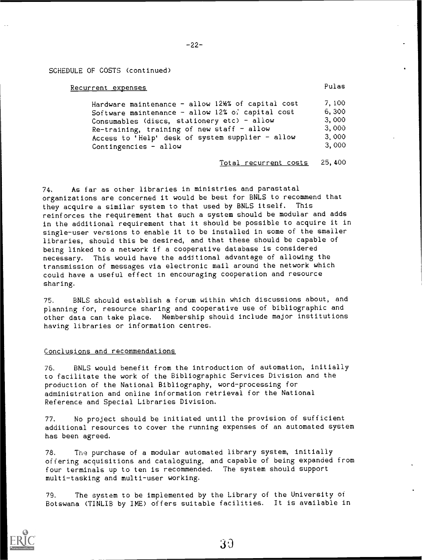## SCHEDULE OF COSTS (continued)

## Recurrent expenses **Pulas**

| Hardware maintenance - allow 12½% of capital cost | 7.100 |  |
|---------------------------------------------------|-------|--|
| Software maintenance - allow 12% of capital cost  | 6,300 |  |
| Consumables (discs, stationery etc) - allow       | 3,000 |  |
| Re-training, training of new staff - allow        | 3,000 |  |
| Access to 'Help' desk of system supplier - allow  | 3,000 |  |
| Contingencies $-$ allow                           | 3,000 |  |

Total recurrent costs 25,400

74. As far as other libraries in ministries and parastatal organizations are concerned it would be best for BNLS to recommend that they acquire a similar system to that used by BNLS itself. This reinforces the requirement that such a system should be modular and adds in the additional requirement that it should be possible to acquire it in single-user versions to enable it to be installed in some of the smaller libraries, should this be desired, and that these should be capable of being linked to a network if a cooperative database is considered necessary. This would have the additional advantage of allowing the transmission of messages via electronic mail around the network which could have a useful effect in encouraging cooperation and resource sharing.

75. BNLS should establish a forum within which discussions about, and planning for, resource sharing and cooperative use of bibliographic and other data can take place. Membership should include major institutions having libraries or information centres.

## Conclusions and recommendations

76. BNLS would benefit from the introduction of automation, initially to facilitate the work of the Bibliographic Services Division and the production of the National Bibliography, word-processing for administration and online information retrieval for the National Reference and Special Libraries Division.

77. No project should be initiated until the provision of sufficient additional resources to cover the running expenses of an automated system has been agreed.

78. The purchase of a modular automated library system, initially offering acquisitions and cataloguing, and capable of being expanded from four terminals up to ten is recommended. The system should support multi-tasking and multi-user working.

79. The system to be implemented by the Library of the University of Botswana (TINLIB by IME) offers suitable facilities. It is available in

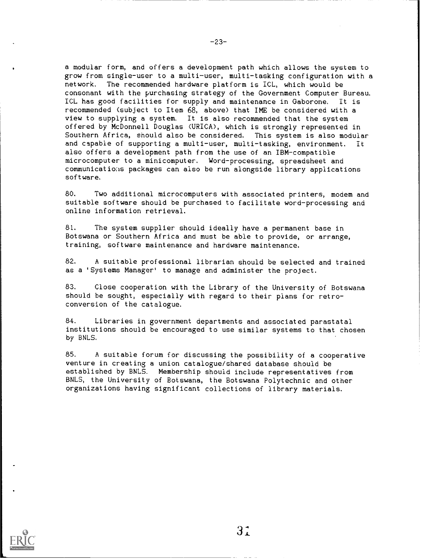a modular form, and offers a development path which allows the system to grow from single-user to a multi-user, multi-tasking configuration with a network. The recommended hardware platform is ICL, which would be The recommended hardware platform is ICL, which would be consonant with the purchasing strategy of the Government Computer Bureau. ICL has good facilities for supply and maintenance in Gaborone. It is recommended (subject to Item 68, above) that IME be considered with a view to supplying a system. It is also recommended that the system offered by McDonnell Douglas (URICA), which is strongly represented in Southern Africa, should also be considered. This system is also modular and capable of supporting a multi-user, multi-tasking, environment. It also offers a development path from the use of an IBM-compatible microcomputer to a minicomputer. Word-processing, spreadsheet and communications packages can also be run alongside library applications software.

80. Two additional microcomputers with associated printers, modem and suitable software should be purchased to facilitate word-processing and online information retrieval.

81. The system supplier should ideally have a permanent base in Botswana or Southern Africa and must be able to provide, or arrange, training, software maintenance and hardware maintenance.

82. A suitable professional librarian should be selected and trained as a 'Systems Manager' to manage and administer the project.

83. Close cooperation with the Library of the University of Botswana should be sought, especially with regard to their plans for retroconversion of the catalogue.

84. Libraries in government departments and associated parastatal institutions should be encouraged to use similar systems to that chosen by BNLS.

85. A suitable forum for discussing the possibility of a cooperative venture in creating a union catalogue/shared database should be established by BNLS. Membership should include representatives from BNLS, the University of Botswana, the Botswana Polytechnic and other organizations having significant collections of library materials.



-23-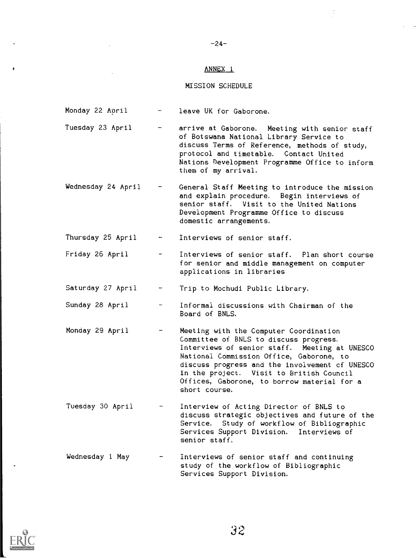#### ANNEX 1

 $-24-$ 

## MISSION SCHEDULE

- Monday 22 April leave UK for Gaborone.
- Tuesday 23 April arrive at Gaborone. Meeting with senior staff of Botswana National Library Service to discuss Terms of Reference, methods of study, protocol and timetable. Contact United Nations Development Programme Office to inform them of my arrival.
- Wednesday 24 April General Staff Meeting to introduce the mission and explain procedure. Begin interviews of senior staff. Visit to the United Nations Development Programme Office to discuss domestic arrangements.

Thursday 25 April Interviews of senior staff.

- Friday 26 April Interviews of senior staff. Plan short course for senior and middle management on computer applications in libraries
- Saturday 27 April Trip to Mochudi Public Library.
- Sunday 28 April Informal discussions with Chairman of the Board of BNLS.
- Monday 29 April Meeting with the Computer Coordination Committee of BNLS to discuss progress. Interviews of senior staff. Meeting at UNESCO National Commission Office, Gaborone, to discuss progress and the involvement cf UNESCO in the project. Visit to British Council Offices, Gaborone, to borrow material for a short course.
- Tuesday 30 April Interview of Acting Director of BNLS to discuss strategic objectives and future of the Service. Study of workflow of Bibliographic Services Support Division. Interviews of senior staff.
- Wednesday 1 May interviews of senior staff and continuing study of the workflow of Bibliographic Services Support Division.

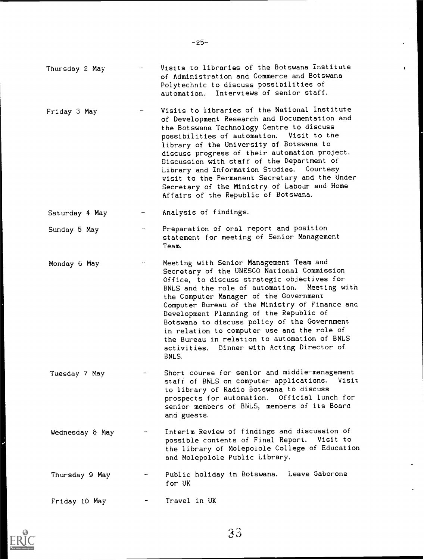|                 | of Administration and Commerce and Botswana<br>Polytechnic to discuss possibilities of<br>Interviews of senior staff.<br>automation.                                                                                                                                                                                                                                                                                                                                                                                                      |
|-----------------|-------------------------------------------------------------------------------------------------------------------------------------------------------------------------------------------------------------------------------------------------------------------------------------------------------------------------------------------------------------------------------------------------------------------------------------------------------------------------------------------------------------------------------------------|
| Friday 3 May    | Visits to libraries of the National Institute<br>of Development Research and Documentation and<br>the Botswana Technology Centre to discuss<br>possibilities of automation. Visit to the<br>library of the University of Botswana to<br>discuss progress of their automation project.<br>Discussion with staff of the Department of<br>Library and Information Studies. Courtesy<br>visit to the Permanent Secretary and the Under<br>Secretary of the Ministry of Labour and Home<br>Affairs of the Republic of Botswana.                |
| Saturday 4 May  | Analysis of findings.                                                                                                                                                                                                                                                                                                                                                                                                                                                                                                                     |
| Sunday 5 May    | Preparation of oral report and position<br>statement for meeting of Senior Management<br>Team.                                                                                                                                                                                                                                                                                                                                                                                                                                            |
| Monday 6 May    | Meeting with Senior Management Team and<br>Secretary of the UNESCO National Commission<br>Office, to discuss strategic objectives for<br>Meeting with<br>BNLS and the role of automation.<br>the Computer Manager of the Government<br>Computer Bureau of the Ministry of Finance and<br>Development Planning of the Republic of<br>Botswana to discuss policy of the Government<br>in relation to computer use and the role of<br>the Bureau in relation to automation of BNLS<br>Dinner with Acting Director of<br>activities.<br>BNLS. |
| Tuesday 7 May   | Short course for senior and middle-management<br>staff of BNLS on computer applications.<br>Visit<br>to library of Radio Botswana to discuss<br>prospects for automation. Official lunch for<br>senior members of BNLS, members of its Board<br>and guests.                                                                                                                                                                                                                                                                               |
| Wednesday 8 May | Interim Review of findings and discussion of<br>possible contents of Final Report. Visit to<br>the library of Molepolole College of Education<br>and Molepolole Public Library.                                                                                                                                                                                                                                                                                                                                                           |
| Thursday 9 May  | Public holiday in Botswana. Leave Gaborone<br>for UK                                                                                                                                                                                                                                                                                                                                                                                                                                                                                      |
| Friday 10 May   | Travel in UK                                                                                                                                                                                                                                                                                                                                                                                                                                                                                                                              |



'3 3

Thursday 2 May Visits to libraries of the Botswana institute

 $\hat{\mathbf{A}}$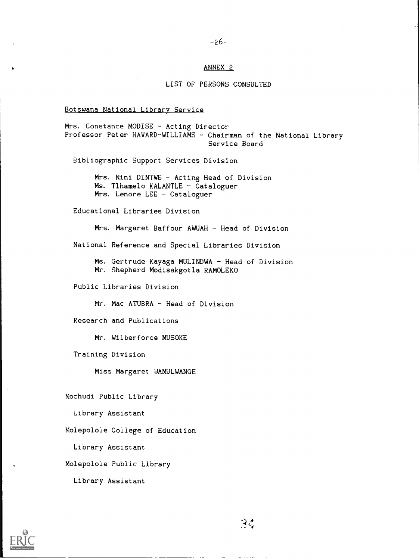## ANNEX 2

## LIST OF PERSONS CONSULTED

Botswana National Library Service

Mrs. Constance MODISE - Acting Director Professor Peter HAVARD-WILLIAMS - Chairman of the National Library Service Board Bibliographic Support Services Division Mrs. Nini DINTWE - Acting Head of Division  $Ms.$  Tlhamelo KALANTLE - Cataloguer Mrs. Lenore LEE - Cataloguer Educational Libraries Division Mrs. Margaret Baffour AWUAH  $-$  Head of Division National Reference and Special Libraries Division Ms. Gertrude Kayaga MULINDWA - Head of Division Mr. Shepherd Modisakgotla RAMOLEKO Public Libraries Division  $Mr.$  Mac ATUBRA - Head of Division Research and Publications Mr. Wilberforce MUSOKE Training Division Miss Margaret WAMULWANGE Mochudi Public Library Library Assistant Molepolole College of Education Library Assistant Molepolole Public Library Library Assistant

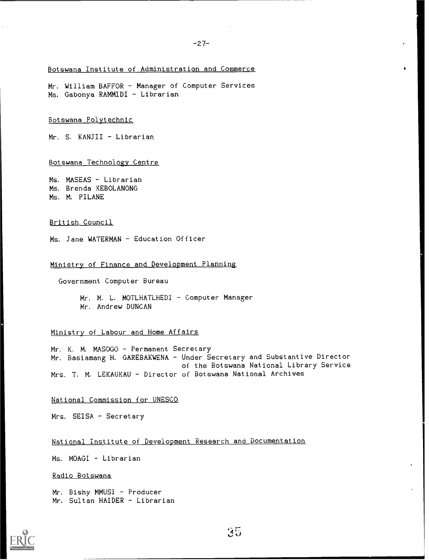## Botswana Institute of Administration and Commerce

Mr. William BAFFOR - Manager of Computer Services Ms. Gabonya RAMMIDI - Librarian

## Botswana Polytechnic

 $Mr. S. KANJII - Librarian$ 

Botswana Technology Centre

Ms. MASEAS - Librarian Ms. Brenda KEBOLANONG Ms. M. PILANE

## British Council

Ms. Jane WATERMAN - Education Officer

## Ministry of Finance and Development Planning

Government Computer Bureau

Mr. M. L. MOTLHATLHEDI - Computer Manager Mr. Andrew DUNCAN

## Ministry of Labour and Home Affairs

Mr. K. M. MASOGO - Permanent Secretary Mr. Basiamang H. GAREBAKWENA - Under Secretary and Substantive Director of the Botswana National Library Service Mrs. T. M. LEKAUKAU - Director of Botswana National Archives

#### National Commission for UNESCO

 $Mrs.$  SEISA - Secretary

National institute of Development Research and Documentation

Ms. MOAGI - Librarian

Radio Botswana

Mr. Bishy MMUSI - Producer Mr. Sultan HAIDER - Librarian

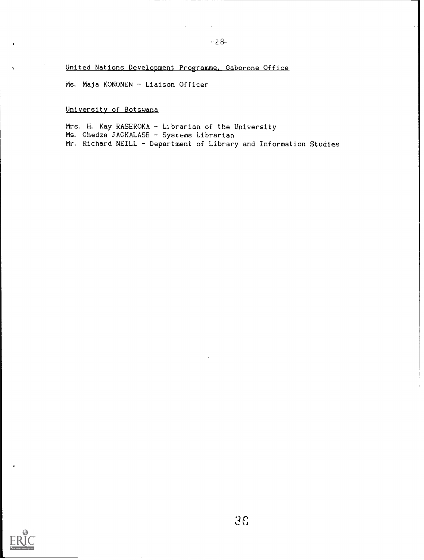United Nations Development Programme, Gaborone Office

Ms. Maja KONONEN - Liaison Officer

University of Botswana

Mrs. H. Kay RASEROKA - Librarian of the University Ms. Chedza JACKALASE - Systems Librarian Mr. Richard NEILL - Department of Library and Information Studies